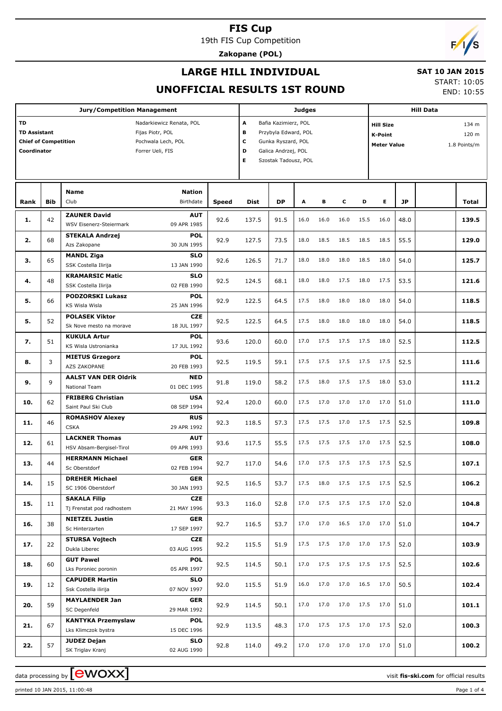19th FIS Cup Competition

**Zakopane (POL)**

# $\sqrt{2}$

## **LARGE HILL INDIVIDUAL**

#### **SAT 10 JAN 2015** START: 10:05

END: 10:55

## **UNOFFICIAL RESULTS 1ST ROUND**

| A<br>TD<br>Bafia Kazimierz, POL<br>Nadarkiewicz Renata, POL<br><b>Hill Size</b><br>134 m<br><b>TD Assistant</b><br>Fijas Piotr, POL<br>в<br>Przybyla Edward, POL<br>120 m<br>K-Point<br><b>Chief of Competition</b><br>Pochwala Lech, POL<br>c<br>Gunka Ryszard, POL<br><b>Meter Value</b><br>1.8 Points/m<br>D<br>Coordinator<br>Forrer Ueli, FIS<br>Galica Andrzej, POL<br>Е<br>Szostak Tadousz, POL<br><b>Name</b><br><b>Nation</b><br>Club<br><b>Birthdate</b><br>E.<br><b>Bib</b><br><b>DP</b><br>A<br>В<br>c<br>D<br><b>JP</b><br>Rank<br><b>Speed</b><br>Dist<br>Total<br><b>ZAUNER David</b><br><b>AUT</b><br>42<br>92.6<br>137.5<br>91.5<br>16.0<br>16.0<br>16.0<br>15.5<br>16.0<br>48.0<br>1.<br>09 APR 1985<br>WSV Eisenerz-Steiermark<br><b>POL</b><br><b>STEKALA Andrzej</b><br>68<br>92.9<br>127.5<br>73.5<br>18.0<br>18.5<br>18.5<br>18.5<br>18.5<br>55.5<br>2.<br>30 JUN 1995<br>Azs Zakopane<br><b>MANDL Ziga</b><br><b>SLO</b><br>65<br>92.6<br>126.5<br>71.7<br>18.0<br>18.0<br>18.0<br>18.5<br>18.0<br>54.0<br>з.<br>SSK Costella Ilirija<br>13 JAN 1990<br><b>KRAMARSIC Matic</b><br><b>SLO</b><br>48<br>92.5<br>124.5<br>68.1<br>18.0<br>18.0<br>17.5<br>18.0<br>17.5<br>53.5<br>4.<br>02 FEB 1990<br>SSK Costella Ilirija<br><b>PODZORSKI Lukasz</b><br><b>POL</b><br>92.9<br>122.5<br>64.5<br>17.5<br>18.0<br>18.0<br>18.0<br>18.0<br>54.0<br>5.<br>66<br>KS Wisla Wisla<br>25 JAN 1996<br><b>POLASEK Viktor</b><br><b>CZE</b><br>52<br>92.5<br>122.5<br>64.5<br>17.5<br>18.0<br>18.0<br>18.0<br>18.0<br>54.0<br>5.<br>18 JUL 1997<br>Sk Nove mesto na morave<br><b>KUKULA Artur</b><br><b>POL</b><br>93.6<br>120.0<br>60.0<br>17.0<br>17.5<br>17.5<br>17.5<br>18.0<br>52.5<br>7.<br>51<br>KS Wisla Ustronianka<br>17 JUL 1992<br><b>POL</b><br><b>MIETUS Grzegorz</b><br>8.<br>3<br>92.5<br>119.5<br>59.1<br>17.5<br>17.5<br>17.5<br>17.5<br>17.5<br>52.5<br>20 FEB 1993<br>AZS ZAKOPANE<br><b>AALST VAN DER Oldrik</b><br><b>NED</b><br>9.<br>9<br>91.8<br>119.0<br>58.2<br>17.5<br>18.0<br>17.5<br>17.5<br>18.0<br>53.0<br>National Team<br>01 DEC 1995<br><b>FRIBERG Christian</b><br><b>USA</b><br>10.<br>62<br>92.4<br>120.0<br>60.0<br>17.5<br>17.0<br>17.0<br>17.0<br>17.0<br>51.0<br>08 SEP 1994<br>Saint Paul Ski Club<br><b>RUS</b><br><b>ROMASHOV Alexey</b><br>11.<br>46<br>92.3<br>118.5<br>57.3<br>17.5<br>17.5<br>17.0<br>17.5<br>17.5<br>52.5<br><b>CSKA</b><br>29 APR 1992<br><b>LACKNER Thomas</b><br><b>AUT</b><br>12.<br>93.6<br>117.5<br>55.5<br>17.5<br>17.5<br>17.5<br>17.0<br>17.5<br>52.5<br>61<br>09 APR 1993<br>HSV Absam-Bergisel-Tirol<br><b>HERRMANN Michael</b><br><b>GER</b><br>13.<br>44<br>92.7<br>117.0<br>54.6<br>17.0<br>17.5<br>17.5<br>17.5<br>17.5<br>52.5<br>02 FEB 1994<br>Sc Oberstdorf<br><b>GER</b><br><b>DREHER Michael</b><br>92.5<br>116.5<br>14.<br>15<br>53.7<br>17.5<br>18.0 17.5<br>17.5 17.5<br>52.5<br>SC 1906 Oberstdorf<br>30 JAN 1993<br><b>SAKALA Filip</b><br>CZE<br>15.<br>93.3<br>116.0<br>52.8<br>17.0<br>17.5 17.5<br>17.5 17.0<br>52.0<br>11<br>21 MAY 1996<br>Tj Frenstat pod radhostem<br><b>NIETZEL Justin</b><br>GER<br>16.<br>38<br>92.7<br>116.5<br>53.7<br>17.0<br>17.0<br>16.5<br>17.0<br>17.0<br>51.0<br>Sc Hinterzarten<br>17 SEP 1997<br><b>STURSA Vojtech</b><br>CZE<br>17.5<br>17.5<br>17.0<br>17.0<br>17.5<br>17.<br>92.2<br>115.5<br>51.9<br>52.0<br>22<br>03 AUG 1995<br>Dukla Liberec<br><b>GUT Pawel</b><br><b>POL</b><br>92.5<br>17.0<br>17.5<br>17.5<br>17.5 17.5<br>52.5<br>18.<br>60<br>114.5<br>50.1<br>05 APR 1997<br>Lks Poroniec poronin<br><b>CAPUDER Martin</b><br>SLO<br>16.0<br>17.0<br>17.0<br>16.5<br>17.0<br>50.5<br>19.<br>92.0<br>115.5<br>51.9<br>12<br>07 NOV 1997<br>Ssk Costella ilirija<br><b>MAYLAENDER Jan</b><br>GER<br>17.5 17.0 | <b>Jury/Competition Management</b> |    |  |  |      |       | <b>Judges</b> |      |      |      |  |  | <b>Hill Data</b> |  |       |  |  |
|-----------------------------------------------------------------------------------------------------------------------------------------------------------------------------------------------------------------------------------------------------------------------------------------------------------------------------------------------------------------------------------------------------------------------------------------------------------------------------------------------------------------------------------------------------------------------------------------------------------------------------------------------------------------------------------------------------------------------------------------------------------------------------------------------------------------------------------------------------------------------------------------------------------------------------------------------------------------------------------------------------------------------------------------------------------------------------------------------------------------------------------------------------------------------------------------------------------------------------------------------------------------------------------------------------------------------------------------------------------------------------------------------------------------------------------------------------------------------------------------------------------------------------------------------------------------------------------------------------------------------------------------------------------------------------------------------------------------------------------------------------------------------------------------------------------------------------------------------------------------------------------------------------------------------------------------------------------------------------------------------------------------------------------------------------------------------------------------------------------------------------------------------------------------------------------------------------------------------------------------------------------------------------------------------------------------------------------------------------------------------------------------------------------------------------------------------------------------------------------------------------------------------------------------------------------------------------------------------------------------------------------------------------------------------------------------------------------------------------------------------------------------------------------------------------------------------------------------------------------------------------------------------------------------------------------------------------------------------------------------------------------------------------------------------------------------------------------------------------------------------------------------------------------------------------------------------------------------------------------------------------------------------------------------------------------------------------------------------------------------------------------------------------------------------------------------------------------------------------------------------------------------------------------------------------------------------------------------------------------------------------------------------------------------------------------------------------------------------------------------------------------------------|------------------------------------|----|--|--|------|-------|---------------|------|------|------|--|--|------------------|--|-------|--|--|
|                                                                                                                                                                                                                                                                                                                                                                                                                                                                                                                                                                                                                                                                                                                                                                                                                                                                                                                                                                                                                                                                                                                                                                                                                                                                                                                                                                                                                                                                                                                                                                                                                                                                                                                                                                                                                                                                                                                                                                                                                                                                                                                                                                                                                                                                                                                                                                                                                                                                                                                                                                                                                                                                                                                                                                                                                                                                                                                                                                                                                                                                                                                                                                                                                                                                                                                                                                                                                                                                                                                                                                                                                                                                                                                                                                       |                                    |    |  |  |      |       |               |      |      |      |  |  |                  |  |       |  |  |
|                                                                                                                                                                                                                                                                                                                                                                                                                                                                                                                                                                                                                                                                                                                                                                                                                                                                                                                                                                                                                                                                                                                                                                                                                                                                                                                                                                                                                                                                                                                                                                                                                                                                                                                                                                                                                                                                                                                                                                                                                                                                                                                                                                                                                                                                                                                                                                                                                                                                                                                                                                                                                                                                                                                                                                                                                                                                                                                                                                                                                                                                                                                                                                                                                                                                                                                                                                                                                                                                                                                                                                                                                                                                                                                                                                       |                                    |    |  |  |      |       |               |      |      |      |  |  |                  |  |       |  |  |
|                                                                                                                                                                                                                                                                                                                                                                                                                                                                                                                                                                                                                                                                                                                                                                                                                                                                                                                                                                                                                                                                                                                                                                                                                                                                                                                                                                                                                                                                                                                                                                                                                                                                                                                                                                                                                                                                                                                                                                                                                                                                                                                                                                                                                                                                                                                                                                                                                                                                                                                                                                                                                                                                                                                                                                                                                                                                                                                                                                                                                                                                                                                                                                                                                                                                                                                                                                                                                                                                                                                                                                                                                                                                                                                                                                       |                                    |    |  |  |      |       |               |      |      |      |  |  |                  |  |       |  |  |
|                                                                                                                                                                                                                                                                                                                                                                                                                                                                                                                                                                                                                                                                                                                                                                                                                                                                                                                                                                                                                                                                                                                                                                                                                                                                                                                                                                                                                                                                                                                                                                                                                                                                                                                                                                                                                                                                                                                                                                                                                                                                                                                                                                                                                                                                                                                                                                                                                                                                                                                                                                                                                                                                                                                                                                                                                                                                                                                                                                                                                                                                                                                                                                                                                                                                                                                                                                                                                                                                                                                                                                                                                                                                                                                                                                       |                                    |    |  |  |      |       |               |      |      |      |  |  |                  |  | 139.5 |  |  |
|                                                                                                                                                                                                                                                                                                                                                                                                                                                                                                                                                                                                                                                                                                                                                                                                                                                                                                                                                                                                                                                                                                                                                                                                                                                                                                                                                                                                                                                                                                                                                                                                                                                                                                                                                                                                                                                                                                                                                                                                                                                                                                                                                                                                                                                                                                                                                                                                                                                                                                                                                                                                                                                                                                                                                                                                                                                                                                                                                                                                                                                                                                                                                                                                                                                                                                                                                                                                                                                                                                                                                                                                                                                                                                                                                                       |                                    |    |  |  |      |       |               |      |      |      |  |  |                  |  | 129.0 |  |  |
|                                                                                                                                                                                                                                                                                                                                                                                                                                                                                                                                                                                                                                                                                                                                                                                                                                                                                                                                                                                                                                                                                                                                                                                                                                                                                                                                                                                                                                                                                                                                                                                                                                                                                                                                                                                                                                                                                                                                                                                                                                                                                                                                                                                                                                                                                                                                                                                                                                                                                                                                                                                                                                                                                                                                                                                                                                                                                                                                                                                                                                                                                                                                                                                                                                                                                                                                                                                                                                                                                                                                                                                                                                                                                                                                                                       |                                    |    |  |  |      |       |               |      |      |      |  |  |                  |  | 125.7 |  |  |
|                                                                                                                                                                                                                                                                                                                                                                                                                                                                                                                                                                                                                                                                                                                                                                                                                                                                                                                                                                                                                                                                                                                                                                                                                                                                                                                                                                                                                                                                                                                                                                                                                                                                                                                                                                                                                                                                                                                                                                                                                                                                                                                                                                                                                                                                                                                                                                                                                                                                                                                                                                                                                                                                                                                                                                                                                                                                                                                                                                                                                                                                                                                                                                                                                                                                                                                                                                                                                                                                                                                                                                                                                                                                                                                                                                       |                                    |    |  |  |      |       |               |      |      |      |  |  |                  |  |       |  |  |
|                                                                                                                                                                                                                                                                                                                                                                                                                                                                                                                                                                                                                                                                                                                                                                                                                                                                                                                                                                                                                                                                                                                                                                                                                                                                                                                                                                                                                                                                                                                                                                                                                                                                                                                                                                                                                                                                                                                                                                                                                                                                                                                                                                                                                                                                                                                                                                                                                                                                                                                                                                                                                                                                                                                                                                                                                                                                                                                                                                                                                                                                                                                                                                                                                                                                                                                                                                                                                                                                                                                                                                                                                                                                                                                                                                       |                                    |    |  |  |      |       |               |      |      |      |  |  |                  |  | 121.6 |  |  |
|                                                                                                                                                                                                                                                                                                                                                                                                                                                                                                                                                                                                                                                                                                                                                                                                                                                                                                                                                                                                                                                                                                                                                                                                                                                                                                                                                                                                                                                                                                                                                                                                                                                                                                                                                                                                                                                                                                                                                                                                                                                                                                                                                                                                                                                                                                                                                                                                                                                                                                                                                                                                                                                                                                                                                                                                                                                                                                                                                                                                                                                                                                                                                                                                                                                                                                                                                                                                                                                                                                                                                                                                                                                                                                                                                                       |                                    |    |  |  |      |       |               |      |      |      |  |  |                  |  | 118.5 |  |  |
|                                                                                                                                                                                                                                                                                                                                                                                                                                                                                                                                                                                                                                                                                                                                                                                                                                                                                                                                                                                                                                                                                                                                                                                                                                                                                                                                                                                                                                                                                                                                                                                                                                                                                                                                                                                                                                                                                                                                                                                                                                                                                                                                                                                                                                                                                                                                                                                                                                                                                                                                                                                                                                                                                                                                                                                                                                                                                                                                                                                                                                                                                                                                                                                                                                                                                                                                                                                                                                                                                                                                                                                                                                                                                                                                                                       |                                    |    |  |  |      |       |               |      |      |      |  |  |                  |  | 118.5 |  |  |
|                                                                                                                                                                                                                                                                                                                                                                                                                                                                                                                                                                                                                                                                                                                                                                                                                                                                                                                                                                                                                                                                                                                                                                                                                                                                                                                                                                                                                                                                                                                                                                                                                                                                                                                                                                                                                                                                                                                                                                                                                                                                                                                                                                                                                                                                                                                                                                                                                                                                                                                                                                                                                                                                                                                                                                                                                                                                                                                                                                                                                                                                                                                                                                                                                                                                                                                                                                                                                                                                                                                                                                                                                                                                                                                                                                       |                                    |    |  |  |      |       |               |      |      |      |  |  |                  |  | 112.5 |  |  |
|                                                                                                                                                                                                                                                                                                                                                                                                                                                                                                                                                                                                                                                                                                                                                                                                                                                                                                                                                                                                                                                                                                                                                                                                                                                                                                                                                                                                                                                                                                                                                                                                                                                                                                                                                                                                                                                                                                                                                                                                                                                                                                                                                                                                                                                                                                                                                                                                                                                                                                                                                                                                                                                                                                                                                                                                                                                                                                                                                                                                                                                                                                                                                                                                                                                                                                                                                                                                                                                                                                                                                                                                                                                                                                                                                                       |                                    |    |  |  |      |       |               |      |      |      |  |  |                  |  | 111.6 |  |  |
|                                                                                                                                                                                                                                                                                                                                                                                                                                                                                                                                                                                                                                                                                                                                                                                                                                                                                                                                                                                                                                                                                                                                                                                                                                                                                                                                                                                                                                                                                                                                                                                                                                                                                                                                                                                                                                                                                                                                                                                                                                                                                                                                                                                                                                                                                                                                                                                                                                                                                                                                                                                                                                                                                                                                                                                                                                                                                                                                                                                                                                                                                                                                                                                                                                                                                                                                                                                                                                                                                                                                                                                                                                                                                                                                                                       |                                    |    |  |  |      |       |               |      |      |      |  |  |                  |  |       |  |  |
|                                                                                                                                                                                                                                                                                                                                                                                                                                                                                                                                                                                                                                                                                                                                                                                                                                                                                                                                                                                                                                                                                                                                                                                                                                                                                                                                                                                                                                                                                                                                                                                                                                                                                                                                                                                                                                                                                                                                                                                                                                                                                                                                                                                                                                                                                                                                                                                                                                                                                                                                                                                                                                                                                                                                                                                                                                                                                                                                                                                                                                                                                                                                                                                                                                                                                                                                                                                                                                                                                                                                                                                                                                                                                                                                                                       |                                    |    |  |  |      |       |               |      |      |      |  |  |                  |  | 111.2 |  |  |
|                                                                                                                                                                                                                                                                                                                                                                                                                                                                                                                                                                                                                                                                                                                                                                                                                                                                                                                                                                                                                                                                                                                                                                                                                                                                                                                                                                                                                                                                                                                                                                                                                                                                                                                                                                                                                                                                                                                                                                                                                                                                                                                                                                                                                                                                                                                                                                                                                                                                                                                                                                                                                                                                                                                                                                                                                                                                                                                                                                                                                                                                                                                                                                                                                                                                                                                                                                                                                                                                                                                                                                                                                                                                                                                                                                       |                                    |    |  |  |      |       |               |      |      |      |  |  |                  |  | 111.0 |  |  |
|                                                                                                                                                                                                                                                                                                                                                                                                                                                                                                                                                                                                                                                                                                                                                                                                                                                                                                                                                                                                                                                                                                                                                                                                                                                                                                                                                                                                                                                                                                                                                                                                                                                                                                                                                                                                                                                                                                                                                                                                                                                                                                                                                                                                                                                                                                                                                                                                                                                                                                                                                                                                                                                                                                                                                                                                                                                                                                                                                                                                                                                                                                                                                                                                                                                                                                                                                                                                                                                                                                                                                                                                                                                                                                                                                                       |                                    |    |  |  |      |       |               |      |      |      |  |  |                  |  | 109.8 |  |  |
|                                                                                                                                                                                                                                                                                                                                                                                                                                                                                                                                                                                                                                                                                                                                                                                                                                                                                                                                                                                                                                                                                                                                                                                                                                                                                                                                                                                                                                                                                                                                                                                                                                                                                                                                                                                                                                                                                                                                                                                                                                                                                                                                                                                                                                                                                                                                                                                                                                                                                                                                                                                                                                                                                                                                                                                                                                                                                                                                                                                                                                                                                                                                                                                                                                                                                                                                                                                                                                                                                                                                                                                                                                                                                                                                                                       |                                    |    |  |  |      |       |               |      |      |      |  |  |                  |  | 108.0 |  |  |
|                                                                                                                                                                                                                                                                                                                                                                                                                                                                                                                                                                                                                                                                                                                                                                                                                                                                                                                                                                                                                                                                                                                                                                                                                                                                                                                                                                                                                                                                                                                                                                                                                                                                                                                                                                                                                                                                                                                                                                                                                                                                                                                                                                                                                                                                                                                                                                                                                                                                                                                                                                                                                                                                                                                                                                                                                                                                                                                                                                                                                                                                                                                                                                                                                                                                                                                                                                                                                                                                                                                                                                                                                                                                                                                                                                       |                                    |    |  |  |      |       |               |      |      |      |  |  |                  |  | 107.1 |  |  |
|                                                                                                                                                                                                                                                                                                                                                                                                                                                                                                                                                                                                                                                                                                                                                                                                                                                                                                                                                                                                                                                                                                                                                                                                                                                                                                                                                                                                                                                                                                                                                                                                                                                                                                                                                                                                                                                                                                                                                                                                                                                                                                                                                                                                                                                                                                                                                                                                                                                                                                                                                                                                                                                                                                                                                                                                                                                                                                                                                                                                                                                                                                                                                                                                                                                                                                                                                                                                                                                                                                                                                                                                                                                                                                                                                                       |                                    |    |  |  |      |       |               |      |      |      |  |  |                  |  |       |  |  |
|                                                                                                                                                                                                                                                                                                                                                                                                                                                                                                                                                                                                                                                                                                                                                                                                                                                                                                                                                                                                                                                                                                                                                                                                                                                                                                                                                                                                                                                                                                                                                                                                                                                                                                                                                                                                                                                                                                                                                                                                                                                                                                                                                                                                                                                                                                                                                                                                                                                                                                                                                                                                                                                                                                                                                                                                                                                                                                                                                                                                                                                                                                                                                                                                                                                                                                                                                                                                                                                                                                                                                                                                                                                                                                                                                                       |                                    |    |  |  |      |       |               |      |      |      |  |  |                  |  | 106.2 |  |  |
|                                                                                                                                                                                                                                                                                                                                                                                                                                                                                                                                                                                                                                                                                                                                                                                                                                                                                                                                                                                                                                                                                                                                                                                                                                                                                                                                                                                                                                                                                                                                                                                                                                                                                                                                                                                                                                                                                                                                                                                                                                                                                                                                                                                                                                                                                                                                                                                                                                                                                                                                                                                                                                                                                                                                                                                                                                                                                                                                                                                                                                                                                                                                                                                                                                                                                                                                                                                                                                                                                                                                                                                                                                                                                                                                                                       |                                    |    |  |  |      |       |               |      |      |      |  |  |                  |  | 104.8 |  |  |
|                                                                                                                                                                                                                                                                                                                                                                                                                                                                                                                                                                                                                                                                                                                                                                                                                                                                                                                                                                                                                                                                                                                                                                                                                                                                                                                                                                                                                                                                                                                                                                                                                                                                                                                                                                                                                                                                                                                                                                                                                                                                                                                                                                                                                                                                                                                                                                                                                                                                                                                                                                                                                                                                                                                                                                                                                                                                                                                                                                                                                                                                                                                                                                                                                                                                                                                                                                                                                                                                                                                                                                                                                                                                                                                                                                       |                                    |    |  |  |      |       |               |      |      |      |  |  |                  |  | 104.7 |  |  |
|                                                                                                                                                                                                                                                                                                                                                                                                                                                                                                                                                                                                                                                                                                                                                                                                                                                                                                                                                                                                                                                                                                                                                                                                                                                                                                                                                                                                                                                                                                                                                                                                                                                                                                                                                                                                                                                                                                                                                                                                                                                                                                                                                                                                                                                                                                                                                                                                                                                                                                                                                                                                                                                                                                                                                                                                                                                                                                                                                                                                                                                                                                                                                                                                                                                                                                                                                                                                                                                                                                                                                                                                                                                                                                                                                                       |                                    |    |  |  |      |       |               |      |      |      |  |  |                  |  | 103.9 |  |  |
|                                                                                                                                                                                                                                                                                                                                                                                                                                                                                                                                                                                                                                                                                                                                                                                                                                                                                                                                                                                                                                                                                                                                                                                                                                                                                                                                                                                                                                                                                                                                                                                                                                                                                                                                                                                                                                                                                                                                                                                                                                                                                                                                                                                                                                                                                                                                                                                                                                                                                                                                                                                                                                                                                                                                                                                                                                                                                                                                                                                                                                                                                                                                                                                                                                                                                                                                                                                                                                                                                                                                                                                                                                                                                                                                                                       |                                    |    |  |  |      |       |               |      |      |      |  |  |                  |  |       |  |  |
|                                                                                                                                                                                                                                                                                                                                                                                                                                                                                                                                                                                                                                                                                                                                                                                                                                                                                                                                                                                                                                                                                                                                                                                                                                                                                                                                                                                                                                                                                                                                                                                                                                                                                                                                                                                                                                                                                                                                                                                                                                                                                                                                                                                                                                                                                                                                                                                                                                                                                                                                                                                                                                                                                                                                                                                                                                                                                                                                                                                                                                                                                                                                                                                                                                                                                                                                                                                                                                                                                                                                                                                                                                                                                                                                                                       |                                    |    |  |  |      |       |               |      |      |      |  |  |                  |  | 102.6 |  |  |
|                                                                                                                                                                                                                                                                                                                                                                                                                                                                                                                                                                                                                                                                                                                                                                                                                                                                                                                                                                                                                                                                                                                                                                                                                                                                                                                                                                                                                                                                                                                                                                                                                                                                                                                                                                                                                                                                                                                                                                                                                                                                                                                                                                                                                                                                                                                                                                                                                                                                                                                                                                                                                                                                                                                                                                                                                                                                                                                                                                                                                                                                                                                                                                                                                                                                                                                                                                                                                                                                                                                                                                                                                                                                                                                                                                       |                                    |    |  |  |      |       |               |      |      |      |  |  |                  |  | 102.4 |  |  |
| 29 MAR 1992<br>SC Degenfeld                                                                                                                                                                                                                                                                                                                                                                                                                                                                                                                                                                                                                                                                                                                                                                                                                                                                                                                                                                                                                                                                                                                                                                                                                                                                                                                                                                                                                                                                                                                                                                                                                                                                                                                                                                                                                                                                                                                                                                                                                                                                                                                                                                                                                                                                                                                                                                                                                                                                                                                                                                                                                                                                                                                                                                                                                                                                                                                                                                                                                                                                                                                                                                                                                                                                                                                                                                                                                                                                                                                                                                                                                                                                                                                                           | 20.                                | 59 |  |  | 92.9 | 114.5 | 50.1          | 17.0 | 17.0 | 17.0 |  |  | 51.0             |  | 101.1 |  |  |
| <b>KANTYKA Przemyslaw</b><br><b>POL</b><br>17.0<br>17.5<br>17.5<br>17.0<br>21.<br>67<br>92.9<br>113.5<br>48.3<br>17.5<br>52.0<br>15 DEC 1996<br>Lks Klimczok bystra                                                                                                                                                                                                                                                                                                                                                                                                                                                                                                                                                                                                                                                                                                                                                                                                                                                                                                                                                                                                                                                                                                                                                                                                                                                                                                                                                                                                                                                                                                                                                                                                                                                                                                                                                                                                                                                                                                                                                                                                                                                                                                                                                                                                                                                                                                                                                                                                                                                                                                                                                                                                                                                                                                                                                                                                                                                                                                                                                                                                                                                                                                                                                                                                                                                                                                                                                                                                                                                                                                                                                                                                   |                                    |    |  |  |      |       |               |      |      |      |  |  |                  |  | 100.3 |  |  |
| <b>JUDEZ Dejan</b><br>SLO<br>49.2<br>17.0<br>17.0<br>17.0<br>17.0<br>17.0<br>22.<br>57<br>92.8<br>51.0<br>114.0<br>02 AUG 1990<br>SK Triglav Kranj                                                                                                                                                                                                                                                                                                                                                                                                                                                                                                                                                                                                                                                                                                                                                                                                                                                                                                                                                                                                                                                                                                                                                                                                                                                                                                                                                                                                                                                                                                                                                                                                                                                                                                                                                                                                                                                                                                                                                                                                                                                                                                                                                                                                                                                                                                                                                                                                                                                                                                                                                                                                                                                                                                                                                                                                                                                                                                                                                                                                                                                                                                                                                                                                                                                                                                                                                                                                                                                                                                                                                                                                                    |                                    |    |  |  |      |       |               |      |      |      |  |  |                  |  | 100.2 |  |  |

printed 10 JAN 2015, 11:00:48 Page 1 of 4

data processing by **CWOXX** and  $\overline{C}$  and  $\overline{C}$  and  $\overline{C}$  and  $\overline{C}$  and  $\overline{C}$  and  $\overline{C}$  and  $\overline{C}$  and  $\overline{C}$  and  $\overline{C}$  and  $\overline{C}$  and  $\overline{C}$  and  $\overline{C}$  and  $\overline{C}$  and  $\overline{C}$  and  $\overline{C}$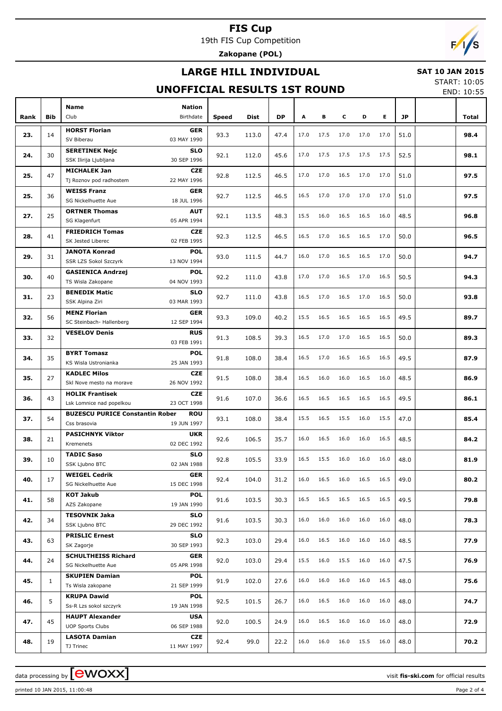19th FIS Cup Competition

**Zakopane (POL)**

## **LARGE HILL INDIVIDUAL**



## **UNOFFICIAL RESULTS 1ST ROUND**

START: 10:05

| ×<br>w |
|--------|
|--------|

|      |              | <b>Name</b><br><b>Nation</b>                                              |       |       |           |      |      |           |           |      |      |       |
|------|--------------|---------------------------------------------------------------------------|-------|-------|-----------|------|------|-----------|-----------|------|------|-------|
| Rank | <b>Bib</b>   | Club<br>Birthdate                                                         | Speed | Dist  | <b>DP</b> | Α    | в    | c         | D         | Е    | JP   | Total |
| 23.  | 14           | <b>HORST Florian</b><br><b>GER</b>                                        | 93.3  | 113.0 | 47.4      | 17.0 | 17.5 | 17.0      | 17.0      | 17.0 | 51.0 | 98.4  |
|      |              | SV Biberau<br>03 MAY 1990                                                 |       |       |           |      |      |           |           |      |      |       |
| 24.  | 30           | <b>SERETINEK Nejc</b><br><b>SLO</b>                                       | 92.1  | 112.0 | 45.6      | 17.0 | 17.5 | 17.5      | 17.5      | 17.5 | 52.5 | 98.1  |
|      |              | 30 SEP 1996<br>SSK Ilirija Ljubljana                                      |       |       |           |      |      |           |           |      |      |       |
| 25.  | 47           | <b>MICHALEK Jan</b><br><b>CZE</b>                                         | 92.8  | 112.5 | 46.5      | 17.0 | 17.0 | 16.5      | 17.0      | 17.0 | 51.0 | 97.5  |
|      |              | 22 MAY 1996<br>Tj Roznov pod radhostem                                    |       |       |           |      |      |           |           |      |      |       |
| 25.  | 36           | <b>WEISS Franz</b><br><b>GER</b><br>18 JUL 1996<br>SG Nickelhuette Aue    | 92.7  | 112.5 | 46.5      | 16.5 | 17.0 | 17.0      | 17.0      | 17.0 | 51.0 | 97.5  |
|      |              | <b>ORTNER Thomas</b><br><b>AUT</b>                                        |       |       |           |      |      |           |           |      |      |       |
| 27.  | 25           | 05 APR 1994<br>SG Klagenfurt                                              | 92.1  | 113.5 | 48.3      | 15.5 | 16.0 | 16.5      | 16.5      | 16.0 | 48.5 | 96.8  |
|      |              | <b>FRIEDRICH Tomas</b><br><b>CZE</b>                                      |       |       |           |      |      |           |           |      |      |       |
| 28.  | 41           | SK Jested Liberec<br>02 FEB 1995                                          | 92.3  | 112.5 | 46.5      | 16.5 | 17.0 | 16.5      | 16.5      | 17.0 | 50.0 | 96.5  |
|      |              | <b>JANOTA Konrad</b><br><b>POL</b>                                        |       |       |           |      |      |           |           |      |      |       |
| 29.  | 31           | 13 NOV 1994<br><b>SSR LZS Sokol Szczyrk</b>                               | 93.0  | 111.5 | 44.7      | 16.0 | 17.0 | 16.5      | 16.5      | 17.0 | 50.0 | 94.7  |
| 30.  | 40           | <b>GASIENICA Andrzei</b><br><b>POL</b>                                    | 92.2  | 111.0 | 43.8      | 17.0 | 17.0 | 16.5      | 17.0      | 16.5 | 50.5 | 94.3  |
|      |              | 04 NOV 1993<br>TS Wisla Zakopane                                          |       |       |           |      |      |           |           |      |      |       |
| 31.  | 23           | <b>BENEDIK Matic</b><br><b>SLO</b>                                        | 92.7  | 111.0 | 43.8      | 16.5 | 17.0 | 16.5      | 17.0      | 16.5 | 50.0 | 93.8  |
|      |              | 03 MAR 1993<br>SSK Alpina Ziri                                            |       |       |           |      |      |           |           |      |      |       |
| 32.  | 56           | <b>MENZ Florian</b><br><b>GER</b>                                         | 93.3  | 109.0 | 40.2      | 15.5 | 16.5 | 16.5      | 16.5      | 16.5 | 49.5 | 89.7  |
|      |              | 12 SEP 1994<br>SC Steinbach- Hallenberg                                   |       |       |           |      |      |           |           |      |      |       |
| 33.  | 32           | <b>VESELOV Denis</b><br><b>RUS</b><br>03 FEB 1991                         | 91.3  | 108.5 | 39.3      | 16.5 | 17.0 | 17.0      | 16.5      | 16.5 | 50.0 | 89.3  |
|      |              | <b>BYRT Tomasz</b><br>POL                                                 |       |       |           |      |      |           |           |      |      |       |
| 34.  | 35           | 25 JAN 1993<br>KS Wisla Ustronianka                                       | 91.8  | 108.0 | 38.4      | 16.5 | 17.0 | 16.5      | 16.5      | 16.5 | 49.5 | 87.9  |
|      |              | <b>KADLEC Milos</b><br><b>CZE</b>                                         |       |       |           |      |      |           |           |      |      |       |
| 35.  | 27           | 26 NOV 1992<br>Skl Nove mesto na morave                                   | 91.5  | 108.0 | 38.4      | 16.5 | 16.0 | 16.0      | 16.5      | 16.0 | 48.5 | 86.9  |
|      |              | <b>HOLIK Frantisek</b><br><b>CZE</b>                                      |       |       |           |      |      |           |           |      |      |       |
| 36.  | 43           | 23 OCT 1998<br>Lsk Lomnice nad popelkou                                   | 91.6  | 107.0 | 36.6      | 16.5 | 16.5 | 16.5      | 16.5      | 16.5 | 49.5 | 86.1  |
| 37.  | 54           | <b>BUZESCU PURICE Constantin Rober</b><br><b>ROU</b>                      | 93.1  | 108.0 | 38.4      | 15.5 | 16.5 | 15.5      | 16.0      | 15.5 | 47.0 | 85.4  |
|      |              | 19 JUN 1997<br>Css brasovia                                               |       |       |           |      |      |           |           |      |      |       |
| 38.  | 21           | <b>PASICHNYK Viktor</b><br><b>UKR</b>                                     | 92.6  | 106.5 | 35.7      | 16.0 | 16.5 | 16.0      | 16.0      | 16.5 | 48.5 | 84.2  |
|      |              | 02 DEC 1992<br>Kremenets                                                  |       |       |           |      |      |           |           |      |      |       |
| 39.  | 10           | <b>TADIC Saso</b><br><b>SLO</b>                                           | 92.8  | 105.5 | 33.9      | 16.5 | 15.5 | 16.0      | 16.0      | 16.0 | 48.0 | 81.9  |
|      |              | 02 JAN 1988<br>SSK Ljubno BTC<br><b>WEIGEL Cedrik</b><br>GER              |       |       |           |      |      |           |           |      |      |       |
| 40.  | 17           | SG Nickelhuette Aue<br>15 DEC 1998                                        | 92.4  | 104.0 | 31.2      | 16.0 |      | 16.5 16.0 | 16.5 16.5 |      | 49.0 | 80.2  |
|      |              | <b>KOT Jakub</b><br><b>POL</b>                                            |       |       |           |      |      |           |           |      |      |       |
| 41.  | 58           | AZS Zakopane<br>19 JAN 1990                                               | 91.6  | 103.5 | 30.3      | 16.5 | 16.5 | 16.5      | 16.5      | 16.5 | 49.5 | 79.8  |
|      |              | <b>TESOVNIK Jaka</b><br><b>SLO</b>                                        |       |       |           |      |      |           |           |      |      |       |
| 42.  | 34           | 29 DEC 1992<br>SSK Ljubno BTC                                             | 91.6  | 103.5 | 30.3      | 16.0 | 16.0 | 16.0      | 16.0      | 16.0 | 48.0 | 78.3  |
| 43.  | 63           | <b>PRISLIC Ernest</b><br><b>SLO</b>                                       |       |       |           | 16.0 | 16.5 | 16.0      | 16.0      | 16.0 | 48.5 | 77.9  |
|      |              | 30 SEP 1993<br>SK Zagorje                                                 | 92.3  | 103.0 | 29.4      |      |      |           |           |      |      |       |
| 44.  | 24           | <b>SCHULTHEISS Richard</b><br><b>GER</b>                                  | 92.0  | 103.0 | 29.4      | 15.5 | 16.0 | 15.5      | 16.0      | 16.0 | 47.5 | 76.9  |
|      |              | 05 APR 1998<br>SG Nickelhuette Aue                                        |       |       |           |      |      |           |           |      |      |       |
| 45.  | $\mathbf{1}$ | <b>SKUPIEN Damian</b><br><b>POL</b>                                       | 91.9  | 102.0 | 27.6      | 16.0 | 16.0 | 16.0      | 16.0      | 16.5 | 48.0 | 75.6  |
|      |              | 21 SEP 1999<br>Ts Wisla zakopane                                          |       |       |           |      |      |           |           |      |      |       |
| 46.  | 5            | <b>KRUPA Dawid</b><br><b>POL</b><br>Ss-R Lzs sokol szczyrk<br>19 JAN 1998 | 92.5  | 101.5 | 26.7      | 16.0 | 16.5 | 16.0      | 16.0      | 16.0 | 48.0 | 74.7  |
|      |              | <b>HAUPT Alexander</b><br><b>USA</b>                                      |       |       |           |      |      |           |           |      |      |       |
| 47.  | 45           | 06 SEP 1988<br><b>UOP Sports Clubs</b>                                    | 92.0  | 100.5 | 24.9      | 16.0 | 16.5 | 16.0      | 16.0      | 16.0 | 48.0 | 72.9  |
|      |              | <b>LASOTA Damian</b><br>CZE                                               |       |       |           |      |      |           |           |      |      |       |
| 48.  | 19           | 11 MAY 1997<br>TJ Trinec                                                  | 92.4  | 99.0  | 22.2      | 16.0 | 16.0 | 16.0      | 15.5      | 16.0 | 48.0 | 70.2  |

printed 10 JAN 2015, 11:00:48 Page 2 of 4

data processing by **CWOXX**  $\blacksquare$ 

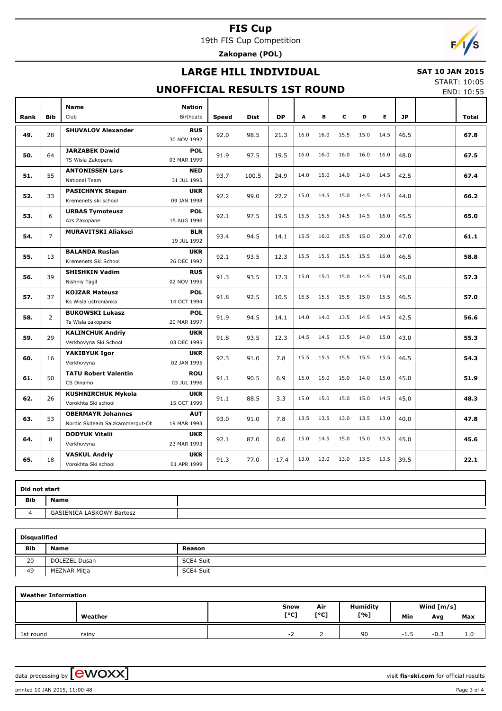19th FIS Cup Competition

**Zakopane (POL)**

## **LARGE HILL INDIVIDUAL**

#### **SAT 10 JAN 2015**

## **UNOFFICIAL RESULTS 1ST ROUND**

START: 10:05

|      |                |                                                             | <b>UNOFFICIAL RESULTS 1ST ROUND</b> |              |             |           |      |      |      |      |      |           | END: 10:55 |
|------|----------------|-------------------------------------------------------------|-------------------------------------|--------------|-------------|-----------|------|------|------|------|------|-----------|------------|
|      |                | <b>Name</b>                                                 | <b>Nation</b>                       |              |             |           |      |      |      |      |      |           |            |
| Rank | <b>Bib</b>     | Club                                                        | Birthdate                           | <b>Speed</b> | <b>Dist</b> | <b>DP</b> | A    | в    | c    | D    | E.   | <b>JP</b> | Total      |
| 49.  | 28             | <b>SHUVALOV Alexander</b>                                   | <b>RUS</b><br>30 NOV 1992           | 92.0         | 98.5        | 21.3      | 16.0 | 16.0 | 15.5 | 15.0 | 14.5 | 46.5      | 67.8       |
| 50.  | 64             | <b>JARZABEK Dawid</b><br>TS Wisla Zakopane                  | <b>POL</b><br>03 MAR 1999           | 91.9         | 97.5        | 19.5      | 16.0 | 16.0 | 16.0 | 16.0 | 16.0 | 48.0      | 67.5       |
| 51.  | 55             | <b>ANTONISSEN Lars</b><br><b>National Team</b>              | <b>NED</b><br>31 JUL 1995           | 93.7         | 100.5       | 24.9      | 14.0 | 15.0 | 14.0 | 14.0 | 14.5 | 42.5      | 67.4       |
| 52.  | 33             | <b>PASICHNYK Stepan</b><br>Kremenets ski school             | <b>UKR</b><br>09 JAN 1998           | 92.2         | 99.0        | 22.2      | 15.0 | 14.5 | 15.0 | 14.5 | 14.5 | 44.0      | 66.2       |
| 53.  | 6              | <b>URBAS Tymoteusz</b><br>Azs Zakopane                      | <b>POL</b><br>15 AUG 1996           | 92.1         | 97.5        | 19.5      | 15.5 | 15.5 | 14.5 | 14.5 | 16.0 | 45.5      | 65.0       |
| 54.  | $\overline{7}$ | <b>MURAVITSKI Aliaksei</b>                                  | <b>BLR</b><br>19 JUL 1992           | 93.4         | 94.5        | 14.1      | 15.5 | 16.0 | 15.5 | 15.0 | 20.0 | 47.0      | 61.1       |
| 55.  | 13             | <b>BALANDA Ruslan</b><br>Kremenets Ski School               | <b>UKR</b><br>26 DEC 1992           | 92.1         | 93.5        | 12.3      | 15.5 | 15.5 | 15.5 | 15.5 | 16.0 | 46.5      | 58.8       |
| 56.  | 39             | <b>SHISHKIN Vadim</b><br>Nishniy Tagil                      | <b>RUS</b><br>02 NOV 1995           | 91.3         | 93.5        | 12.3      | 15.0 | 15.0 | 15.0 | 14.5 | 15.0 | 45.0      | 57.3       |
| 57.  | 37             | <b>KOJZAR Mateusz</b><br>Ks Wisla ustronianka               | <b>POL</b><br>14 OCT 1994           | 91.8         | 92.5        | 10.5      | 15.5 | 15.5 | 15.5 | 15.0 | 15.5 | 46.5      | 57.0       |
| 58.  | $\overline{2}$ | <b>BUKOWSKI Lukasz</b><br>Ts Wisla zakopane                 | <b>POL</b><br>20 MAR 1997           | 91.9         | 94.5        | 14.1      | 14.0 | 14.0 | 13.5 | 14.5 | 14.5 | 42.5      | 56.6       |
| 59.  | 29             | <b>KALINCHUK Andriy</b><br>Verkhovyna Ski School            | <b>UKR</b><br>03 DEC 1995           | 91.8         | 93.5        | 12.3      | 14.5 | 14.5 | 13.5 | 14.0 | 15.0 | 43.0      | 55.3       |
| 60.  | 16             | YAKIBYUK Igor<br>Verkhovyna                                 | <b>UKR</b><br>02 JAN 1995           | 92.3         | 91.0        | 7.8       | 15.5 | 15.5 | 15.5 | 15.5 | 15.5 | 46.5      | 54.3       |
| 61.  | 50             | <b>TATU Robert Valentin</b><br>CS Dinamo                    | <b>ROU</b><br>03 JUL 1996           | 91.1         | 90.5        | 6.9       | 15.0 | 15.0 | 15.0 | 14.0 | 15.0 | 45.0      | 51.9       |
| 62.  | 26             | <b>KUSHNIRCHUK Mykola</b><br>Vorokhta Ski school            | <b>UKR</b><br>15 OCT 1999           | 91.1         | 88.5        | 3.3       | 15.0 | 15.0 | 15.0 | 15.0 | 14.5 | 45.0      | 48.3       |
| 63.  | 53             | <b>OBERMAYR Johannes</b><br>Nordic Skiteam Salzkammergut-Ob | <b>AUT</b><br>19 MAR 1993           | 93.0         | 91.0        | 7.8       | 13.5 | 13.5 | 13.0 | 13.5 | 13.0 | 40.0      | 47.8       |
| 64.  | 8              | <b>DODYUK Vitalii</b><br>Verkhovyna                         | <b>UKR</b><br>23 MAR 1993           | 92.1         | 87.0        | 0.6       | 15.0 | 14.5 | 15.0 | 15.0 | 15.5 | 45.0      | 45.6       |
| 65.  | 18             | <b>VASKUL Andriy</b><br>Vorokhta Ski school                 | <b>UKR</b><br>01 APR 1999           | 91.3         | 77.0        | $-17.4$   | 13.0 | 13.0 | 13.0 | 13.5 | 13.5 | 39.5      | 22.1       |

| Did not start |                           |  |
|---------------|---------------------------|--|
| <b>Bib</b>    | <b>Name</b>               |  |
|               | GASIENICA LASKOWY Bartosz |  |

|            | <b>Disqualified</b> |           |  |  |  |  |  |  |  |  |  |  |
|------------|---------------------|-----------|--|--|--|--|--|--|--|--|--|--|
| <b>Bib</b> | <b>Name</b>         | Reason    |  |  |  |  |  |  |  |  |  |  |
| 20         | DOLEZEL Dusan       | SCE4 Suit |  |  |  |  |  |  |  |  |  |  |
| 49         | MEZNAR Mitja        | SCE4 Suit |  |  |  |  |  |  |  |  |  |  |

|           | <b>Weather Information</b> |      |      |                 |        |              |     |  |  |  |  |  |  |  |
|-----------|----------------------------|------|------|-----------------|--------|--------------|-----|--|--|--|--|--|--|--|
|           |                            | Snow | Air  | <b>Humidity</b> |        | Wind $[m/s]$ |     |  |  |  |  |  |  |  |
|           | Weather                    | [°C] | [°C] | [%]             | Min    | Avg          | Max |  |  |  |  |  |  |  |
| 1st round | rainy                      | - 1  |      | 90              | $-1.5$ | $-0.3$       | 1.0 |  |  |  |  |  |  |  |

data processing by **CWOXX**  $\blacksquare$ 

printed 10 JAN 2015, 11:00:48 Page 3 of 4